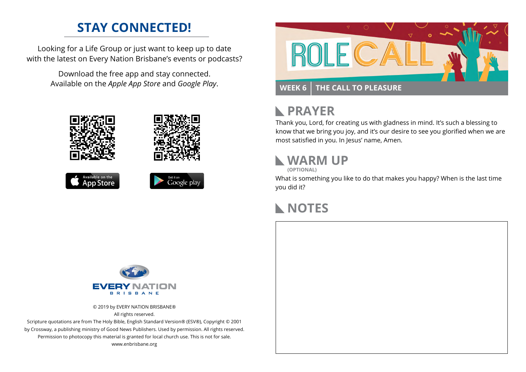## **STAY CONNECTED!**

Looking for a Life Group or just want to keep up to date with the latest on Every Nation Brisbane's events or podcasts?

> Download the free app and stay connected. Available on the *Apple App Store* and *Google Play*.











# **N** PRAYER

Thank you, Lord, for creating us with gladness in mind. It's such a blessing to know that we bring you joy, and it's our desire to see you glorified when we are most satisfied in you. In Jesus' name, Amen.

## **WARM UP**

**(OPTIONAL)**

What is something you like to do that makes you happy? When is the last time you did it?

#### **NOTES**



© 2019 by EVERY NATION BRISBANE® All rights reserved.

Scripture quotations are from The Holy Bible, English Standard Version® (ESV®), Copyright © 2001 by Crossway, a publishing ministry of Good News Publishers. Used by permission. All rights reserved. Permission to photocopy this material is granted for local church use. This is not for sale. www.enbrisbane.org